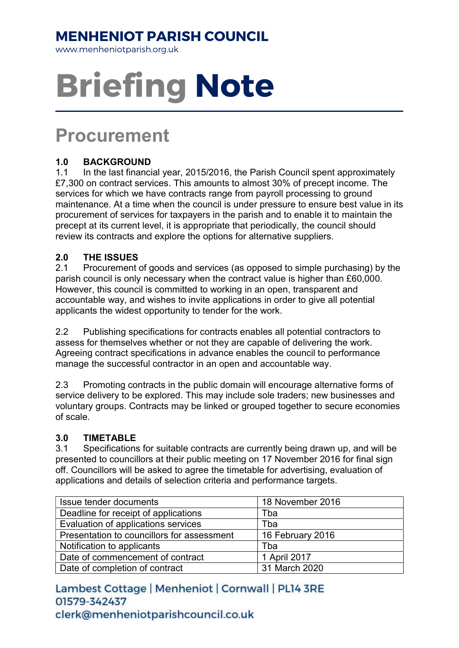### MENHENIOT PARISH COUNCIL

www.menheniotparish.org.uk

# Briefing Note

## Procurement

#### 1.0 BACKGROUND

1.1 In the last financial year, 2015/2016, the Parish Council spent approximately £7,300 on contract services. This amounts to almost 30% of precept income. The services for which we have contracts range from payroll processing to ground maintenance. At a time when the council is under pressure to ensure best value in its procurement of services for taxpayers in the parish and to enable it to maintain the precept at its current level, it is appropriate that periodically, the council should review its contracts and explore the options for alternative suppliers.

#### 2.0 THE ISSUES

2.1 Procurement of goods and services (as opposed to simple purchasing) by the parish council is only necessary when the contract value is higher than £60,000. However, this council is committed to working in an open, transparent and accountable way, and wishes to invite applications in order to give all potential applicants the widest opportunity to tender for the work.

2.2 Publishing specifications for contracts enables all potential contractors to assess for themselves whether or not they are capable of delivering the work. Agreeing contract specifications in advance enables the council to performance manage the successful contractor in an open and accountable way.

2.3 Promoting contracts in the public domain will encourage alternative forms of service delivery to be explored. This may include sole traders; new businesses and voluntary groups. Contracts may be linked or grouped together to secure economies of scale.

#### 3.0 TIMETABLE

3.1 Specifications for suitable contracts are currently being drawn up, and will be presented to councillors at their public meeting on 17 November 2016 for final sign off. Councillors will be asked to agree the timetable for advertising, evaluation of applications and details of selection criteria and performance targets.

| Issue tender documents                     | 18 November 2016 |
|--------------------------------------------|------------------|
| Deadline for receipt of applications       | Tba              |
| Evaluation of applications services        | Tba              |
| Presentation to councillors for assessment | 16 February 2016 |
| Notification to applicants                 | Tba              |
| Date of commencement of contract           | 1 April 2017     |
| Date of completion of contract             | 31 March 2020    |

Lambest Cottage | Menheniot | Cornwall | PL14 3RE 01579-342437 clerk@menheniotparishcouncil.co.uk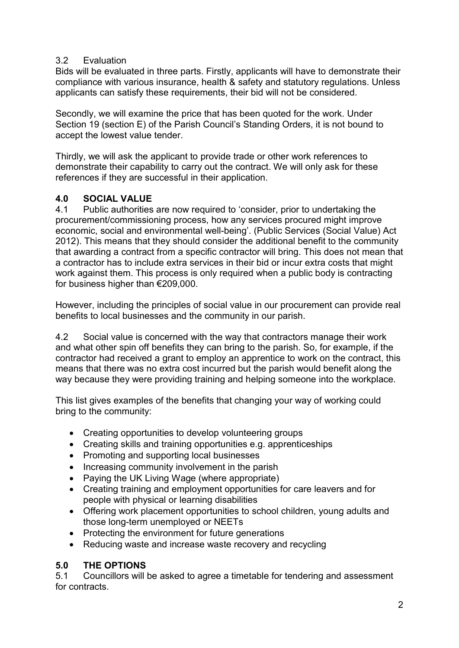#### 3.2 Evaluation

Bids will be evaluated in three parts. Firstly, applicants will have to demonstrate their compliance with various insurance, health & safety and statutory regulations. Unless applicants can satisfy these requirements, their bid will not be considered.

Secondly, we will examine the price that has been quoted for the work. Under Section 19 (section E) of the Parish Council's Standing Orders, it is not bound to accept the lowest value tender.

Thirdly, we will ask the applicant to provide trade or other work references to demonstrate their capability to carry out the contract. We will only ask for these references if they are successful in their application.

#### 4.0 SOCIAL VALUE

4.1 Public authorities are now required to 'consider, prior to undertaking the procurement/commissioning process, how any services procured might improve economic, social and environmental well-being'. (Public Services (Social Value) Act 2012). This means that they should consider the additional benefit to the community that awarding a contract from a specific contractor will bring. This does not mean that a contractor has to include extra services in their bid or incur extra costs that might work against them. This process is only required when a public body is contracting for business higher than €209,000.

However, including the principles of social value in our procurement can provide real benefits to local businesses and the community in our parish.

4.2 Social value is concerned with the way that contractors manage their work and what other spin off benefits they can bring to the parish. So, for example, if the contractor had received a grant to employ an apprentice to work on the contract, this means that there was no extra cost incurred but the parish would benefit along the way because they were providing training and helping someone into the workplace.

This list gives examples of the benefits that changing your way of working could bring to the community:

- Creating opportunities to develop volunteering groups
- Creating skills and training opportunities e.g. apprenticeships
- Promoting and supporting local businesses
- Increasing community involvement in the parish
- Paying the UK Living Wage (where appropriate)
- Creating training and employment opportunities for care leavers and for people with physical or learning disabilities
- Offering work placement opportunities to school children, young adults and those long-term unemployed or NEETs
- Protecting the environment for future generations
- Reducing waste and increase waste recovery and recycling

#### 5.0 THE OPTIONS

5.1 Councillors will be asked to agree a timetable for tendering and assessment for contracts.